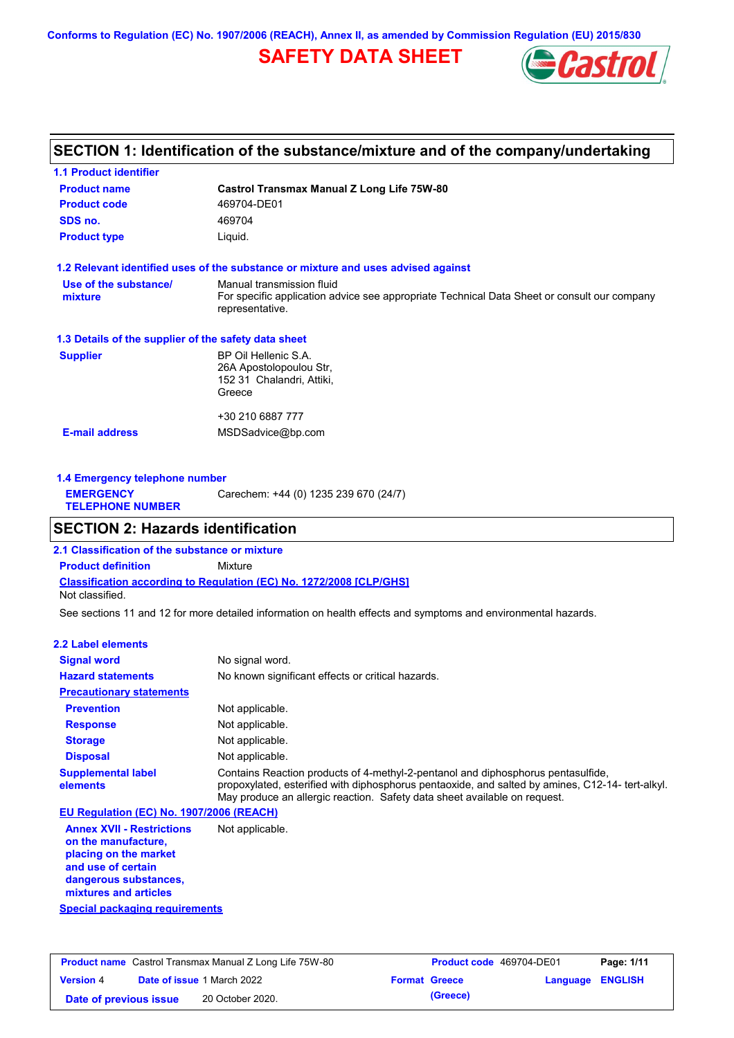**Conforms to Regulation (EC) No. 1907/2006 (REACH), Annex II, as amended by Commission Regulation (EU) 2015/830**

# **SAFETY DATA SHEET**



## **SECTION 1: Identification of the substance/mixture and of the company/undertaking**

| <b>1.1 Product identifier</b>                        |                                                                                                                                             |
|------------------------------------------------------|---------------------------------------------------------------------------------------------------------------------------------------------|
| <b>Product name</b>                                  | Castrol Transmax Manual Z Long Life 75W-80                                                                                                  |
| <b>Product code</b>                                  | 469704-DE01                                                                                                                                 |
| SDS no.                                              | 469704                                                                                                                                      |
| <b>Product type</b>                                  | Liquid.                                                                                                                                     |
|                                                      | 1.2 Relevant identified uses of the substance or mixture and uses advised against                                                           |
| Use of the substance/<br>mixture                     | Manual transmission fluid<br>For specific application advice see appropriate Technical Data Sheet or consult our company<br>representative. |
| 1.3 Details of the supplier of the safety data sheet |                                                                                                                                             |
| <b>Supplier</b>                                      | BP Oil Hellenic S.A.<br>26A Apostolopoulou Str.<br>152 31 Chalandri, Attiki,<br>Greece                                                      |
|                                                      | +30 210 6887 777                                                                                                                            |
| <b>E-mail address</b>                                | MSDSadvice@bp.com                                                                                                                           |
|                                                      |                                                                                                                                             |

| Carechem: +44 (0) 1235 239 670 (24/7)<br><b>EMERGENCY</b><br><b>TELEPHONE NUMBER</b> | 1.4 Emergency telephone number |  |  |  |  |
|--------------------------------------------------------------------------------------|--------------------------------|--|--|--|--|
|                                                                                      |                                |  |  |  |  |

## **SECTION 2: Hazards identification**

**Classification according to Regulation (EC) No. 1272/2008 [CLP/GHS] 2.1 Classification of the substance or mixture Product definition** Mixture Not classified.

See sections 11 and 12 for more detailed information on health effects and symptoms and environmental hazards.

### **2.2 Label elements**

| <b>Signal word</b>                       | No signal word.                                                                                                                                                                                                                                                   |
|------------------------------------------|-------------------------------------------------------------------------------------------------------------------------------------------------------------------------------------------------------------------------------------------------------------------|
| <b>Hazard statements</b>                 | No known significant effects or critical hazards.                                                                                                                                                                                                                 |
| <b>Precautionary statements</b>          |                                                                                                                                                                                                                                                                   |
| <b>Prevention</b>                        | Not applicable.                                                                                                                                                                                                                                                   |
| <b>Response</b>                          | Not applicable.                                                                                                                                                                                                                                                   |
| <b>Storage</b>                           | Not applicable.                                                                                                                                                                                                                                                   |
| <b>Disposal</b>                          | Not applicable.                                                                                                                                                                                                                                                   |
| <b>Supplemental label</b><br>elements    | Contains Reaction products of 4-methyl-2-pentanol and diphosphorus pentasulfide,<br>propoxylated, esterified with diphosphorus pentaoxide, and salted by amines, C12-14- tert-alkyl.<br>May produce an allergic reaction. Safety data sheet available on request. |
| EU Regulation (EC) No. 1907/2006 (REACH) |                                                                                                                                                                                                                                                                   |

**Annex XVII - Restrictions on the manufacture, placing on the market and use of certain dangerous substances, mixtures and articles** Not applicable.

**Special packaging requirements**

| <b>Product name</b> Castrol Transmax Manual Z Long Life 75W-80 |  |                                   | <b>Product code</b> 469704-DE01 |                         | Page: 1/11 |
|----------------------------------------------------------------|--|-----------------------------------|---------------------------------|-------------------------|------------|
| <b>Version 4</b>                                               |  | <b>Date of issue 1 March 2022</b> | <b>Format Greece</b>            | <b>Language ENGLISH</b> |            |
| Date of previous issue                                         |  | 20 October 2020.                  | (Greece)                        |                         |            |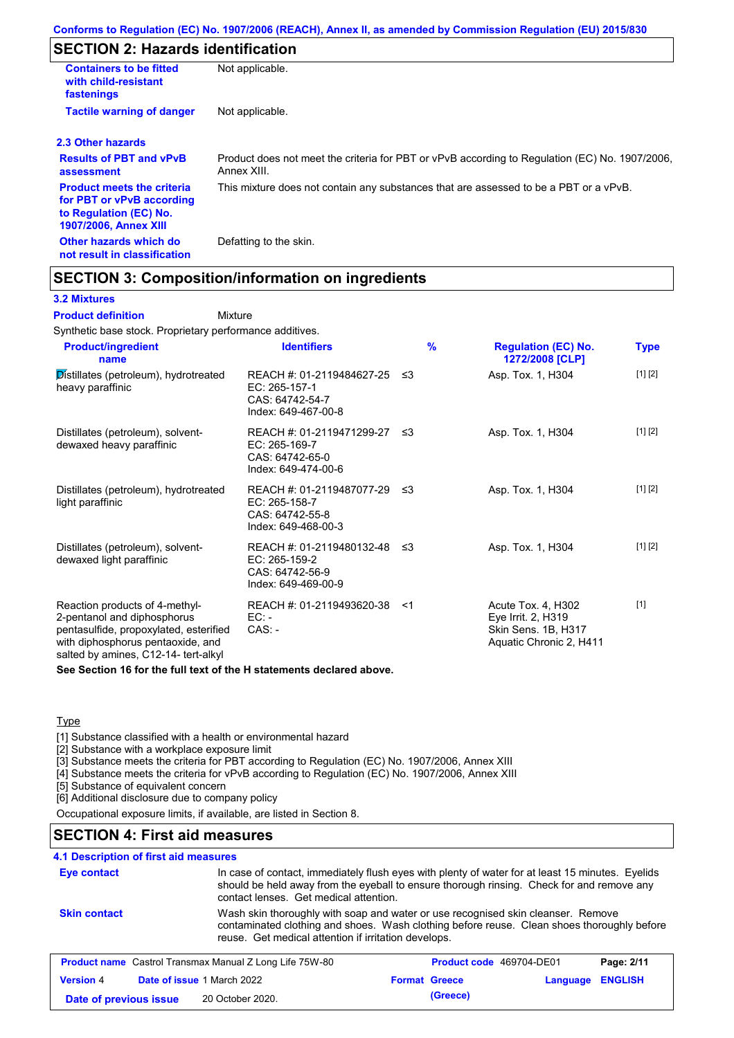# **SECTION 2: Hazards identification**

| <b>Containers to be fitted</b><br>with child-resistant<br>fastenings                                                     | Not applicable.                                                                                               |
|--------------------------------------------------------------------------------------------------------------------------|---------------------------------------------------------------------------------------------------------------|
| <b>Tactile warning of danger</b>                                                                                         | Not applicable.                                                                                               |
| 2.3 Other hazards                                                                                                        |                                                                                                               |
| <b>Results of PBT and vPvB</b><br>assessment                                                                             | Product does not meet the criteria for PBT or vPvB according to Regulation (EC) No. 1907/2006,<br>Annex XIII. |
| <b>Product meets the criteria</b><br>for PBT or vPvB according<br>to Regulation (EC) No.<br><b>1907/2006, Annex XIII</b> | This mixture does not contain any substances that are assessed to be a PBT or a vPvB.                         |
| Other hazards which do<br>not result in classification                                                                   | Defatting to the skin.                                                                                        |

## **SECTION 3: Composition/information on ingredients**

Mixture

### **3.2 Mixtures**

**Product definition**

Synthetic base stock. Proprietary performance additives.

| <b>Product/ingredient</b><br>name                                                                                                                                                    | <b>Identifiers</b>                                                                      | $\frac{9}{6}$ | <b>Regulation (EC) No.</b><br>1272/2008 [CLP]                                              | <b>Type</b> |
|--------------------------------------------------------------------------------------------------------------------------------------------------------------------------------------|-----------------------------------------------------------------------------------------|---------------|--------------------------------------------------------------------------------------------|-------------|
| Distillates (petroleum), hydrotreated<br>heavy paraffinic                                                                                                                            | REACH #: 01-2119484627-25<br>EC: 265-157-1<br>CAS: 64742-54-7<br>Index: 649-467-00-8    | -≤3           | Asp. Tox. 1, H304                                                                          | [1] [2]     |
| Distillates (petroleum), solvent-<br>dewaxed heavy paraffinic                                                                                                                        | REACH #: 01-2119471299-27 ≤3<br>EC: 265-169-7<br>CAS: 64742-65-0<br>Index: 649-474-00-6 |               | Asp. Tox. 1, H304                                                                          | [1] [2]     |
| Distillates (petroleum), hydrotreated<br>light paraffinic                                                                                                                            | REACH #: 01-2119487077-29 ≤3<br>EC: 265-158-7<br>CAS: 64742-55-8<br>Index: 649-468-00-3 |               | Asp. Tox. 1, H304                                                                          | [1] [2]     |
| Distillates (petroleum), solvent-<br>dewaxed light paraffinic                                                                                                                        | REACH #: 01-2119480132-48 ≤3<br>EC: 265-159-2<br>CAS: 64742-56-9<br>Index: 649-469-00-9 |               | Asp. Tox. 1, H304                                                                          | [1] [2]     |
| Reaction products of 4-methyl-<br>2-pentanol and diphosphorus<br>pentasulfide, propoxylated, esterified<br>with diphosphorus pentaoxide, and<br>salted by amines, C12-14- tert-alkyl | REACH #: 01-2119493620-38<br>$EC: -$<br>$CAS: -$                                        | $<$ 1         | Acute Tox. 4, H302<br>Eye Irrit. 2, H319<br>Skin Sens. 1B, H317<br>Aquatic Chronic 2, H411 | $[1]$       |

**See Section 16 for the full text of the H statements declared above.**

### **Type**

[1] Substance classified with a health or environmental hazard

[2] Substance with a workplace exposure limit

[3] Substance meets the criteria for PBT according to Regulation (EC) No. 1907/2006, Annex XIII

[4] Substance meets the criteria for vPvB according to Regulation (EC) No. 1907/2006, Annex XIII

[5] Substance of equivalent concern

[6] Additional disclosure due to company policy

Occupational exposure limits, if available, are listed in Section 8.

## **SECTION 4: First aid measures**

### **4.1 Description of first aid measures**

| <b>Eye contact</b>                                                                                              | In case of contact, immediately flush eyes with plenty of water for at least 15 minutes. Eyelids<br>should be held away from the eyeball to ensure thorough rinsing. Check for and remove any<br>contact lenses. Get medical attention. |  |                      |          |                |
|-----------------------------------------------------------------------------------------------------------------|-----------------------------------------------------------------------------------------------------------------------------------------------------------------------------------------------------------------------------------------|--|----------------------|----------|----------------|
| <b>Skin contact</b>                                                                                             | Wash skin thoroughly with soap and water or use recognised skin cleanser. Remove<br>contaminated clothing and shoes. Wash clothing before reuse. Clean shoes thoroughly before<br>reuse. Get medical attention if irritation develops.  |  |                      |          |                |
| <b>Product name</b> Castrol Transmax Manual Z Long Life 75W-80<br><b>Product code</b> 469704-DE01<br>Page: 2/11 |                                                                                                                                                                                                                                         |  |                      |          |                |
| <b>Version 4</b>                                                                                                | Date of issue 1 March 2022                                                                                                                                                                                                              |  | <b>Format Greece</b> | Language | <b>ENGLISH</b> |
| Date of previous issue                                                                                          | 20 October 2020.                                                                                                                                                                                                                        |  | (Greece)             |          |                |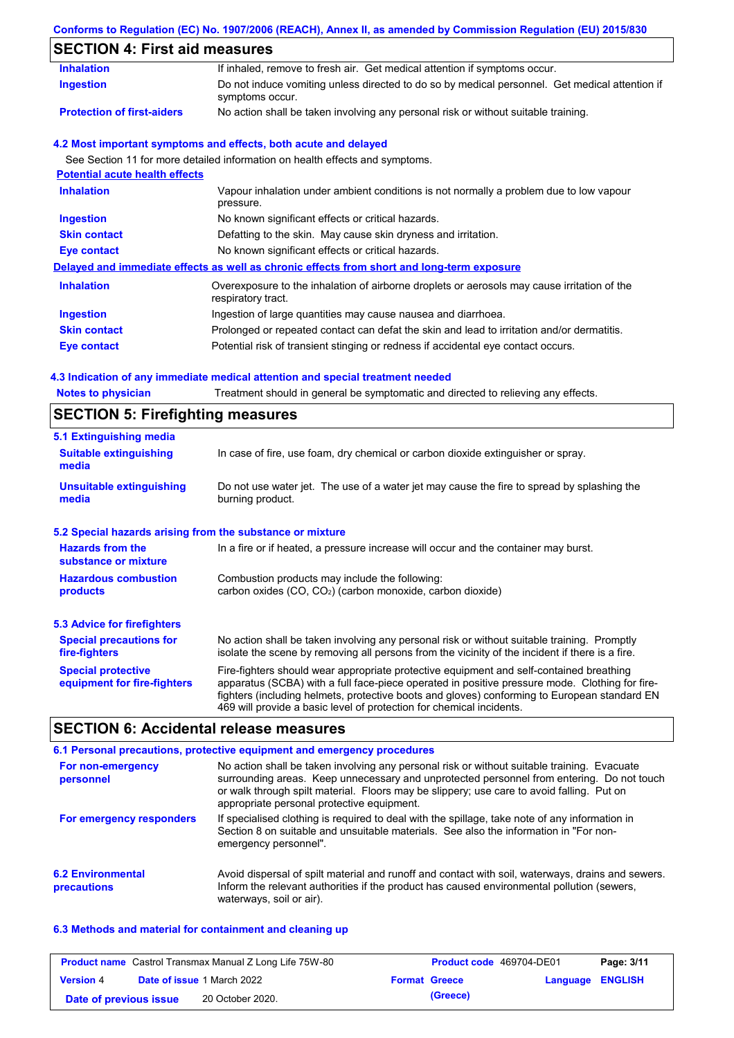## **Conforms to Regulation (EC) No. 1907/2006 (REACH), Annex II, as amended by Commission Regulation (EU) 2015/830**

# **SECTION 4: First aid measures**

| <b>Inhalation</b>                     | If inhaled, remove to fresh air. Get medical attention if symptoms occur.                                         |
|---------------------------------------|-------------------------------------------------------------------------------------------------------------------|
| <b>Ingestion</b>                      | Do not induce vomiting unless directed to do so by medical personnel. Get medical attention if<br>symptoms occur. |
| <b>Protection of first-aiders</b>     | No action shall be taken involving any personal risk or without suitable training.                                |
|                                       | 4.2 Most important symptoms and effects, both acute and delayed                                                   |
|                                       | See Section 11 for more detailed information on health effects and symptoms.                                      |
| <b>Potential acute health effects</b> |                                                                                                                   |
| <b>Inhalation</b>                     | Vapour inhalation under ambient conditions is not normally a problem due to low vapour<br>pressure.               |
| <b>Ingestion</b>                      | No known significant effects or critical hazards.                                                                 |
| <b>Skin contact</b>                   | Defatting to the skin. May cause skin dryness and irritation.                                                     |
| Eye contact                           | No known significant effects or critical hazards.                                                                 |
|                                       | Delayed and immediate effects as well as chronic effects from short and long-term exposure                        |
| <b>Inhalation</b>                     | Overexposure to the inhalation of airborne droplets or aerosols may cause irritation of the<br>respiratory tract. |
| <b>Ingestion</b>                      | Ingestion of large quantities may cause nausea and diarrhoea.                                                     |
| <b>Skin contact</b>                   | Prolonged or repeated contact can defat the skin and lead to irritation and/or dermatitis.                        |
| Eye contact                           | Potential risk of transient stinging or redness if accidental eye contact occurs.                                 |
|                                       |                                                                                                                   |

## **4.3 Indication of any immediate medical attention and special treatment needed**

| <b>Notes to physician</b>                                 | Treatment should in general be symptomatic and directed to relieving any effects.                                                                                                                                                                                                                                                                                 |  |  |  |
|-----------------------------------------------------------|-------------------------------------------------------------------------------------------------------------------------------------------------------------------------------------------------------------------------------------------------------------------------------------------------------------------------------------------------------------------|--|--|--|
| <b>SECTION 5: Firefighting measures</b>                   |                                                                                                                                                                                                                                                                                                                                                                   |  |  |  |
| 5.1 Extinguishing media                                   |                                                                                                                                                                                                                                                                                                                                                                   |  |  |  |
| <b>Suitable extinguishing</b><br>media                    | In case of fire, use foam, dry chemical or carbon dioxide extinguisher or spray.                                                                                                                                                                                                                                                                                  |  |  |  |
| <b>Unsuitable extinguishing</b><br>media                  | Do not use water jet. The use of a water jet may cause the fire to spread by splashing the<br>burning product.                                                                                                                                                                                                                                                    |  |  |  |
| 5.2 Special hazards arising from the substance or mixture |                                                                                                                                                                                                                                                                                                                                                                   |  |  |  |
| <b>Hazards from the</b><br>substance or mixture           | In a fire or if heated, a pressure increase will occur and the container may burst.                                                                                                                                                                                                                                                                               |  |  |  |
| <b>Hazardous combustion</b>                               | Combustion products may include the following:                                                                                                                                                                                                                                                                                                                    |  |  |  |
| products                                                  | carbon oxides (CO, CO2) (carbon monoxide, carbon dioxide)                                                                                                                                                                                                                                                                                                         |  |  |  |
| 5.3 Advice for firefighters                               |                                                                                                                                                                                                                                                                                                                                                                   |  |  |  |
| <b>Special precautions for</b><br>fire-fighters           | No action shall be taken involving any personal risk or without suitable training. Promptly<br>isolate the scene by removing all persons from the vicinity of the incident if there is a fire.                                                                                                                                                                    |  |  |  |
| <b>Special protective</b><br>equipment for fire-fighters  | Fire-fighters should wear appropriate protective equipment and self-contained breathing<br>apparatus (SCBA) with a full face-piece operated in positive pressure mode. Clothing for fire-<br>fighters (including helmets, protective boots and gloves) conforming to European standard EN<br>469 will provide a basic level of protection for chemical incidents. |  |  |  |

## **SECTION 6: Accidental release measures**

|                                         | 6.1 Personal precautions, protective equipment and emergency procedures                                                                                                                                                                                                                                                             |
|-----------------------------------------|-------------------------------------------------------------------------------------------------------------------------------------------------------------------------------------------------------------------------------------------------------------------------------------------------------------------------------------|
| For non-emergency<br>personnel          | No action shall be taken involving any personal risk or without suitable training. Evacuate<br>surrounding areas. Keep unnecessary and unprotected personnel from entering. Do not touch<br>or walk through spilt material. Floors may be slippery; use care to avoid falling. Put on<br>appropriate personal protective equipment. |
| For emergency responders                | If specialised clothing is required to deal with the spillage, take note of any information in<br>Section 8 on suitable and unsuitable materials. See also the information in "For non-<br>emergency personnel".                                                                                                                    |
| <b>6.2 Environmental</b><br>precautions | Avoid dispersal of spilt material and runoff and contact with soil, waterways, drains and sewers.<br>Inform the relevant authorities if the product has caused environmental pollution (sewers,<br>waterways, soil or air).                                                                                                         |

### **6.3 Methods and material for containment and cleaning up**

| <b>Product name</b> Castrol Transmax Manual Z Long Life 75W-80 |  | <b>Product code</b> 469704-DE01   |  | Page: 3/11           |                         |  |
|----------------------------------------------------------------|--|-----------------------------------|--|----------------------|-------------------------|--|
| <b>Version 4</b>                                               |  | <b>Date of issue 1 March 2022</b> |  | <b>Format Greece</b> | <b>Language ENGLISH</b> |  |
| Date of previous issue                                         |  | 20 October 2020.                  |  | (Greece)             |                         |  |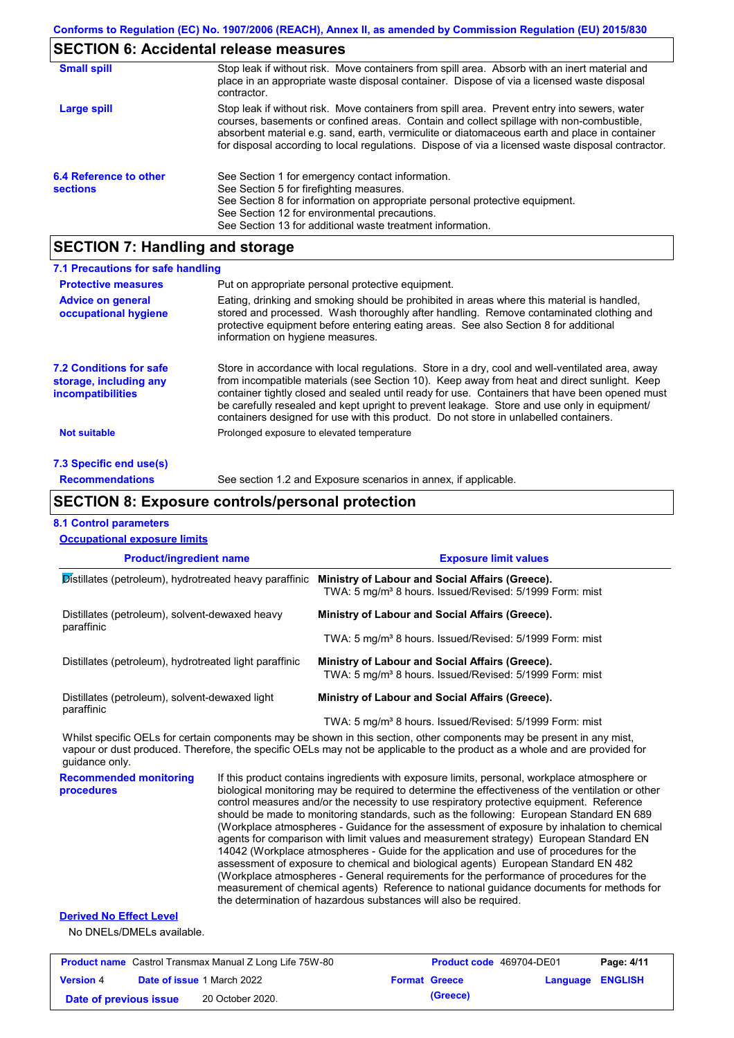## **SECTION 6: Accidental release measures**

| <b>Small spill</b>                        | Stop leak if without risk. Move containers from spill area. Absorb with an inert material and<br>place in an appropriate waste disposal container. Dispose of via a licensed waste disposal<br>contractor.                                                                                                                                                                                     |
|-------------------------------------------|------------------------------------------------------------------------------------------------------------------------------------------------------------------------------------------------------------------------------------------------------------------------------------------------------------------------------------------------------------------------------------------------|
| Large spill                               | Stop leak if without risk. Move containers from spill area. Prevent entry into sewers, water<br>courses, basements or confined areas. Contain and collect spillage with non-combustible,<br>absorbent material e.g. sand, earth, vermiculite or diatomaceous earth and place in container<br>for disposal according to local regulations. Dispose of via a licensed waste disposal contractor. |
| 6.4 Reference to other<br><b>sections</b> | See Section 1 for emergency contact information.<br>See Section 5 for firefighting measures.<br>See Section 8 for information on appropriate personal protective equipment.<br>See Section 12 for environmental precautions.<br>See Section 13 for additional waste treatment information.                                                                                                     |

## **SECTION 7: Handling and storage**

| 7.1 Precautions for safe handling                                                    |                                                                                                                                                                                                                                                                                                                                                                                                                                                                                          |
|--------------------------------------------------------------------------------------|------------------------------------------------------------------------------------------------------------------------------------------------------------------------------------------------------------------------------------------------------------------------------------------------------------------------------------------------------------------------------------------------------------------------------------------------------------------------------------------|
| <b>Protective measures</b>                                                           | Put on appropriate personal protective equipment.                                                                                                                                                                                                                                                                                                                                                                                                                                        |
| <b>Advice on general</b><br>occupational hygiene                                     | Eating, drinking and smoking should be prohibited in areas where this material is handled.<br>stored and processed. Wash thoroughly after handling. Remove contaminated clothing and<br>protective equipment before entering eating areas. See also Section 8 for additional<br>information on hygiene measures.                                                                                                                                                                         |
| <b>7.2 Conditions for safe</b><br>storage, including any<br><i>incompatibilities</i> | Store in accordance with local regulations. Store in a dry, cool and well-ventilated area, away<br>from incompatible materials (see Section 10). Keep away from heat and direct sunlight. Keep<br>container tightly closed and sealed until ready for use. Containers that have been opened must<br>be carefully resealed and kept upright to prevent leakage. Store and use only in equipment/<br>containers designed for use with this product. Do not store in unlabelled containers. |
| <b>Not suitable</b>                                                                  | Prolonged exposure to elevated temperature                                                                                                                                                                                                                                                                                                                                                                                                                                               |
| 7.3 Specific end use(s)                                                              |                                                                                                                                                                                                                                                                                                                                                                                                                                                                                          |
| <b>Recommendations</b>                                                               | See section 1.2 and Exposure scenarios in annex, if applicable.                                                                                                                                                                                                                                                                                                                                                                                                                          |

## **SECTION 8: Exposure controls/personal protection**

### **8.1 Control parameters**

| <b>Occupational exposure limits</b>                          |                                                                                                                        |
|--------------------------------------------------------------|------------------------------------------------------------------------------------------------------------------------|
| <b>Product/ingredient name</b>                               | <b>Exposure limit values</b>                                                                                           |
| Distillates (petroleum), hydrotreated heavy paraffinic       | Ministry of Labour and Social Affairs (Greece).<br>TWA: 5 mg/m <sup>3</sup> 8 hours. Issued/Revised: 5/1999 Form: mist |
| Distillates (petroleum), solvent-dewaxed heavy<br>paraffinic | Ministry of Labour and Social Affairs (Greece).                                                                        |
|                                                              | TWA: 5 mg/m <sup>3</sup> 8 hours. Issued/Revised: 5/1999 Form: mist                                                    |
| Distillates (petroleum), hydrotreated light paraffinic       | Ministry of Labour and Social Affairs (Greece).<br>TWA: 5 mg/m <sup>3</sup> 8 hours. Issued/Revised: 5/1999 Form: mist |
| Distillates (petroleum), solvent-dewaxed light               | Ministry of Labour and Social Affairs (Greece).                                                                        |
| paraffinic                                                   | TWA: 5 mg/m <sup>3</sup> 8 hours. Issued/Revised: 5/1999 Form: mist                                                    |

Whilst specific OELs for certain components may be shown in this section, other components may be present in any mist, vapour or dust produced. Therefore, the specific OELs may not be applicable to the product as a whole and are provided for guidance only.

**Recommended monitoring procedures** If this product contains ingredients with exposure limits, personal, workplace atmosphere or biological monitoring may be required to determine the effectiveness of the ventilation or other control measures and/or the necessity to use respiratory protective equipment. Reference should be made to monitoring standards, such as the following: European Standard EN 689 (Workplace atmospheres - Guidance for the assessment of exposure by inhalation to chemical agents for comparison with limit values and measurement strategy) European Standard EN 14042 (Workplace atmospheres - Guide for the application and use of procedures for the assessment of exposure to chemical and biological agents) European Standard EN 482 (Workplace atmospheres - General requirements for the performance of procedures for the measurement of chemical agents) Reference to national guidance documents for methods for the determination of hazardous substances will also be required.

### **Derived No Effect Level**

No DNELs/DMELs available.

| <b>Product name</b> Castrol Transmax Manual Z Long Life 75W-80 |  |                                   | <b>Product code</b> 469704-DE01 | Page: 4/11           |                         |  |
|----------------------------------------------------------------|--|-----------------------------------|---------------------------------|----------------------|-------------------------|--|
| <b>Version 4</b>                                               |  | <b>Date of issue 1 March 2022</b> |                                 | <b>Format Greece</b> | <b>Language ENGLISH</b> |  |
| Date of previous issue                                         |  | 20 October 2020.                  |                                 | (Greece)             |                         |  |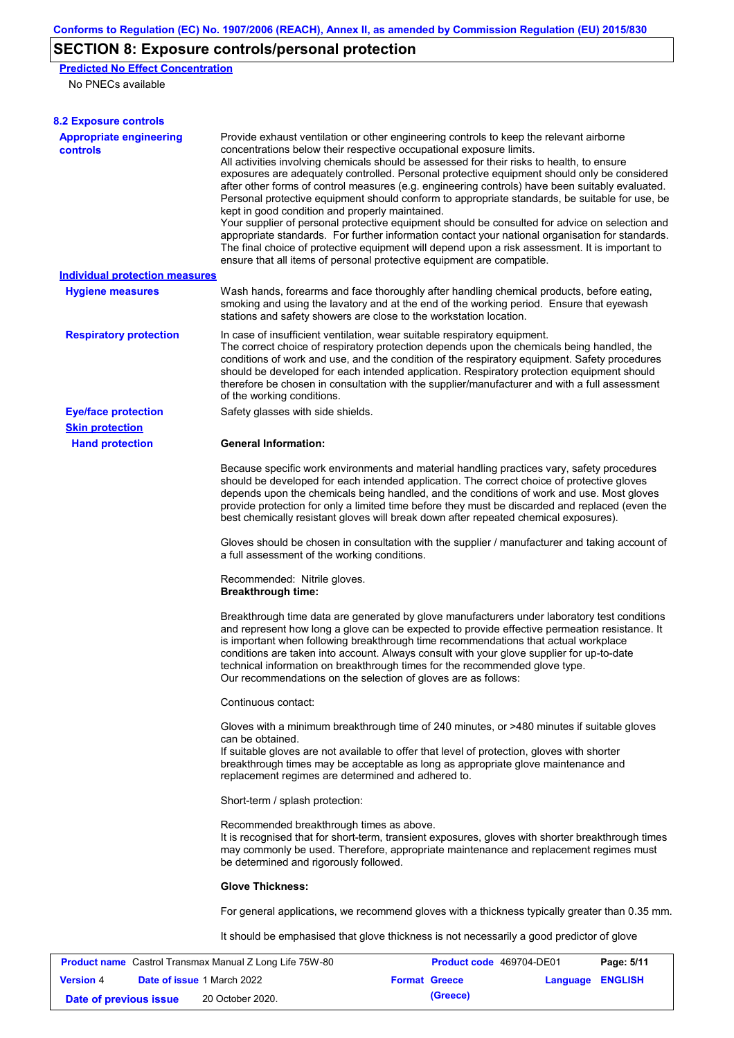# **SECTION 8: Exposure controls/personal protection**

**Predicted No Effect Concentration**

No PNECs available

| <b>8.2 Exposure controls</b>                                   |                                                                                                                                                                                                                                                                                                                                                                                                                                                                                                                                                                                                                                                                                                                                                                                                                                                                                                                                                                                                         |                          |          |                |  |  |  |
|----------------------------------------------------------------|---------------------------------------------------------------------------------------------------------------------------------------------------------------------------------------------------------------------------------------------------------------------------------------------------------------------------------------------------------------------------------------------------------------------------------------------------------------------------------------------------------------------------------------------------------------------------------------------------------------------------------------------------------------------------------------------------------------------------------------------------------------------------------------------------------------------------------------------------------------------------------------------------------------------------------------------------------------------------------------------------------|--------------------------|----------|----------------|--|--|--|
| <b>Appropriate engineering</b><br><b>controls</b>              | Provide exhaust ventilation or other engineering controls to keep the relevant airborne<br>concentrations below their respective occupational exposure limits.<br>All activities involving chemicals should be assessed for their risks to health, to ensure<br>exposures are adequately controlled. Personal protective equipment should only be considered<br>after other forms of control measures (e.g. engineering controls) have been suitably evaluated.<br>Personal protective equipment should conform to appropriate standards, be suitable for use, be<br>kept in good condition and properly maintained.<br>Your supplier of personal protective equipment should be consulted for advice on selection and<br>appropriate standards. For further information contact your national organisation for standards.<br>The final choice of protective equipment will depend upon a risk assessment. It is important to<br>ensure that all items of personal protective equipment are compatible. |                          |          |                |  |  |  |
| <b>Individual protection measures</b>                          |                                                                                                                                                                                                                                                                                                                                                                                                                                                                                                                                                                                                                                                                                                                                                                                                                                                                                                                                                                                                         |                          |          |                |  |  |  |
| <b>Hygiene measures</b>                                        | Wash hands, forearms and face thoroughly after handling chemical products, before eating,<br>smoking and using the lavatory and at the end of the working period. Ensure that eyewash<br>stations and safety showers are close to the workstation location.                                                                                                                                                                                                                                                                                                                                                                                                                                                                                                                                                                                                                                                                                                                                             |                          |          |                |  |  |  |
| <b>Respiratory protection</b>                                  | In case of insufficient ventilation, wear suitable respiratory equipment.<br>The correct choice of respiratory protection depends upon the chemicals being handled, the<br>conditions of work and use, and the condition of the respiratory equipment. Safety procedures<br>should be developed for each intended application. Respiratory protection equipment should<br>therefore be chosen in consultation with the supplier/manufacturer and with a full assessment<br>of the working conditions.                                                                                                                                                                                                                                                                                                                                                                                                                                                                                                   |                          |          |                |  |  |  |
| <b>Eye/face protection</b>                                     | Safety glasses with side shields.                                                                                                                                                                                                                                                                                                                                                                                                                                                                                                                                                                                                                                                                                                                                                                                                                                                                                                                                                                       |                          |          |                |  |  |  |
| <b>Skin protection</b><br><b>Hand protection</b>               | <b>General Information:</b>                                                                                                                                                                                                                                                                                                                                                                                                                                                                                                                                                                                                                                                                                                                                                                                                                                                                                                                                                                             |                          |          |                |  |  |  |
|                                                                | Because specific work environments and material handling practices vary, safety procedures<br>should be developed for each intended application. The correct choice of protective gloves<br>depends upon the chemicals being handled, and the conditions of work and use. Most gloves<br>provide protection for only a limited time before they must be discarded and replaced (even the<br>best chemically resistant gloves will break down after repeated chemical exposures).                                                                                                                                                                                                                                                                                                                                                                                                                                                                                                                        |                          |          |                |  |  |  |
|                                                                | Gloves should be chosen in consultation with the supplier / manufacturer and taking account of<br>a full assessment of the working conditions.                                                                                                                                                                                                                                                                                                                                                                                                                                                                                                                                                                                                                                                                                                                                                                                                                                                          |                          |          |                |  |  |  |
|                                                                | Recommended: Nitrile gloves.<br><b>Breakthrough time:</b>                                                                                                                                                                                                                                                                                                                                                                                                                                                                                                                                                                                                                                                                                                                                                                                                                                                                                                                                               |                          |          |                |  |  |  |
|                                                                | Breakthrough time data are generated by glove manufacturers under laboratory test conditions<br>and represent how long a glove can be expected to provide effective permeation resistance. It<br>is important when following breakthrough time recommendations that actual workplace<br>conditions are taken into account. Always consult with your glove supplier for up-to-date<br>technical information on breakthrough times for the recommended glove type.<br>Our recommendations on the selection of gloves are as follows:                                                                                                                                                                                                                                                                                                                                                                                                                                                                      |                          |          |                |  |  |  |
|                                                                | Continuous contact:                                                                                                                                                                                                                                                                                                                                                                                                                                                                                                                                                                                                                                                                                                                                                                                                                                                                                                                                                                                     |                          |          |                |  |  |  |
|                                                                | Gloves with a minimum breakthrough time of 240 minutes, or >480 minutes if suitable gloves<br>can be obtained.<br>If suitable gloves are not available to offer that level of protection, gloves with shorter<br>breakthrough times may be acceptable as long as appropriate glove maintenance and<br>replacement regimes are determined and adhered to.                                                                                                                                                                                                                                                                                                                                                                                                                                                                                                                                                                                                                                                |                          |          |                |  |  |  |
|                                                                | Short-term / splash protection:                                                                                                                                                                                                                                                                                                                                                                                                                                                                                                                                                                                                                                                                                                                                                                                                                                                                                                                                                                         |                          |          |                |  |  |  |
|                                                                | Recommended breakthrough times as above.<br>It is recognised that for short-term, transient exposures, gloves with shorter breakthrough times<br>may commonly be used. Therefore, appropriate maintenance and replacement regimes must<br>be determined and rigorously followed.                                                                                                                                                                                                                                                                                                                                                                                                                                                                                                                                                                                                                                                                                                                        |                          |          |                |  |  |  |
|                                                                | <b>Glove Thickness:</b>                                                                                                                                                                                                                                                                                                                                                                                                                                                                                                                                                                                                                                                                                                                                                                                                                                                                                                                                                                                 |                          |          |                |  |  |  |
|                                                                | For general applications, we recommend gloves with a thickness typically greater than 0.35 mm.                                                                                                                                                                                                                                                                                                                                                                                                                                                                                                                                                                                                                                                                                                                                                                                                                                                                                                          |                          |          |                |  |  |  |
|                                                                | It should be emphasised that glove thickness is not necessarily a good predictor of glove                                                                                                                                                                                                                                                                                                                                                                                                                                                                                                                                                                                                                                                                                                                                                                                                                                                                                                               |                          |          |                |  |  |  |
| <b>Product name</b> Castrol Transmax Manual Z Long Life 75W-80 |                                                                                                                                                                                                                                                                                                                                                                                                                                                                                                                                                                                                                                                                                                                                                                                                                                                                                                                                                                                                         | Product code 469704-DE01 |          | Page: 5/11     |  |  |  |
| Date of issue 1 March 2022<br><b>Version 4</b>                 |                                                                                                                                                                                                                                                                                                                                                                                                                                                                                                                                                                                                                                                                                                                                                                                                                                                                                                                                                                                                         | <b>Format Greece</b>     | Language | <b>ENGLISH</b> |  |  |  |

**Date of previous issue (Greece)** 20 October 2020.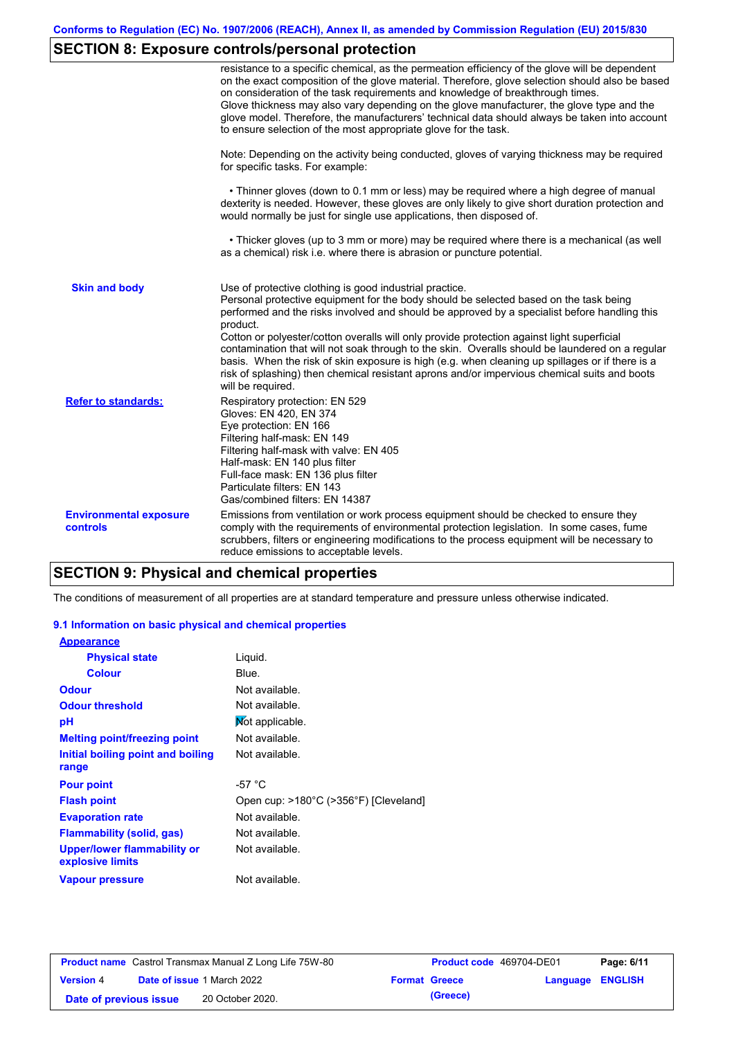# **SECTION 8: Exposure controls/personal protection**

|                                           | resistance to a specific chemical, as the permeation efficiency of the glove will be dependent<br>on the exact composition of the glove material. Therefore, glove selection should also be based<br>on consideration of the task requirements and knowledge of breakthrough times.<br>Glove thickness may also vary depending on the glove manufacturer, the glove type and the<br>glove model. Therefore, the manufacturers' technical data should always be taken into account<br>to ensure selection of the most appropriate glove for the task.                                                                                                                                  |
|-------------------------------------------|---------------------------------------------------------------------------------------------------------------------------------------------------------------------------------------------------------------------------------------------------------------------------------------------------------------------------------------------------------------------------------------------------------------------------------------------------------------------------------------------------------------------------------------------------------------------------------------------------------------------------------------------------------------------------------------|
|                                           | Note: Depending on the activity being conducted, gloves of varying thickness may be required<br>for specific tasks. For example:                                                                                                                                                                                                                                                                                                                                                                                                                                                                                                                                                      |
|                                           | • Thinner gloves (down to 0.1 mm or less) may be required where a high degree of manual<br>dexterity is needed. However, these gloves are only likely to give short duration protection and<br>would normally be just for single use applications, then disposed of.                                                                                                                                                                                                                                                                                                                                                                                                                  |
|                                           | • Thicker gloves (up to 3 mm or more) may be required where there is a mechanical (as well<br>as a chemical) risk i.e. where there is abrasion or puncture potential.                                                                                                                                                                                                                                                                                                                                                                                                                                                                                                                 |
| <b>Skin and body</b>                      | Use of protective clothing is good industrial practice.<br>Personal protective equipment for the body should be selected based on the task being<br>performed and the risks involved and should be approved by a specialist before handling this<br>product.<br>Cotton or polyester/cotton overalls will only provide protection against light superficial<br>contamination that will not soak through to the skin. Overalls should be laundered on a regular<br>basis. When the risk of skin exposure is high (e.g. when cleaning up spillages or if there is a<br>risk of splashing) then chemical resistant aprons and/or impervious chemical suits and boots<br>will be required. |
| <b>Refer to standards:</b>                | Respiratory protection: EN 529<br>Gloves: EN 420, EN 374<br>Eye protection: EN 166<br>Filtering half-mask: EN 149<br>Filtering half-mask with valve: EN 405<br>Half-mask: EN 140 plus filter<br>Full-face mask: EN 136 plus filter<br>Particulate filters: EN 143<br>Gas/combined filters: EN 14387                                                                                                                                                                                                                                                                                                                                                                                   |
| <b>Environmental exposure</b><br>controls | Emissions from ventilation or work process equipment should be checked to ensure they<br>comply with the requirements of environmental protection legislation. In some cases, fume<br>scrubbers, filters or engineering modifications to the process equipment will be necessary to<br>reduce emissions to acceptable levels.                                                                                                                                                                                                                                                                                                                                                         |

## **SECTION 9: Physical and chemical properties**

The conditions of measurement of all properties are at standard temperature and pressure unless otherwise indicated.

### **9.1 Information on basic physical and chemical properties**

| <b>Appearance</b>                                      |                                       |
|--------------------------------------------------------|---------------------------------------|
| <b>Physical state</b>                                  | Liquid.                               |
| <b>Colour</b>                                          | Blue.                                 |
| <b>Odour</b>                                           | Not available.                        |
| <b>Odour threshold</b>                                 | Not available.                        |
| рH                                                     | Mot applicable.                       |
| <b>Melting point/freezing point</b>                    | Not available.                        |
| Initial boiling point and boiling                      | Not available.                        |
| range                                                  |                                       |
| <b>Pour point</b>                                      | -57 $^{\circ}$ C                      |
| <b>Flash point</b>                                     | Open cup: >180°C (>356°F) [Cleveland] |
| <b>Evaporation rate</b>                                | Not available.                        |
| <b>Flammability (solid, gas)</b>                       | Not available.                        |
| <b>Upper/lower flammability or</b><br>explosive limits | Not available.                        |
| <b>Vapour pressure</b>                                 | Not available.                        |

| <b>Product name</b> Castrol Transmax Manual Z Long Life 75W-80 |  |                                   | <b>Product code</b> 469704-DE01 |                      | Page: 6/11              |  |
|----------------------------------------------------------------|--|-----------------------------------|---------------------------------|----------------------|-------------------------|--|
| <b>Version 4</b>                                               |  | <b>Date of issue 1 March 2022</b> |                                 | <b>Format Greece</b> | <b>Language ENGLISH</b> |  |
| Date of previous issue                                         |  | 20 October 2020.                  |                                 | (Greece)             |                         |  |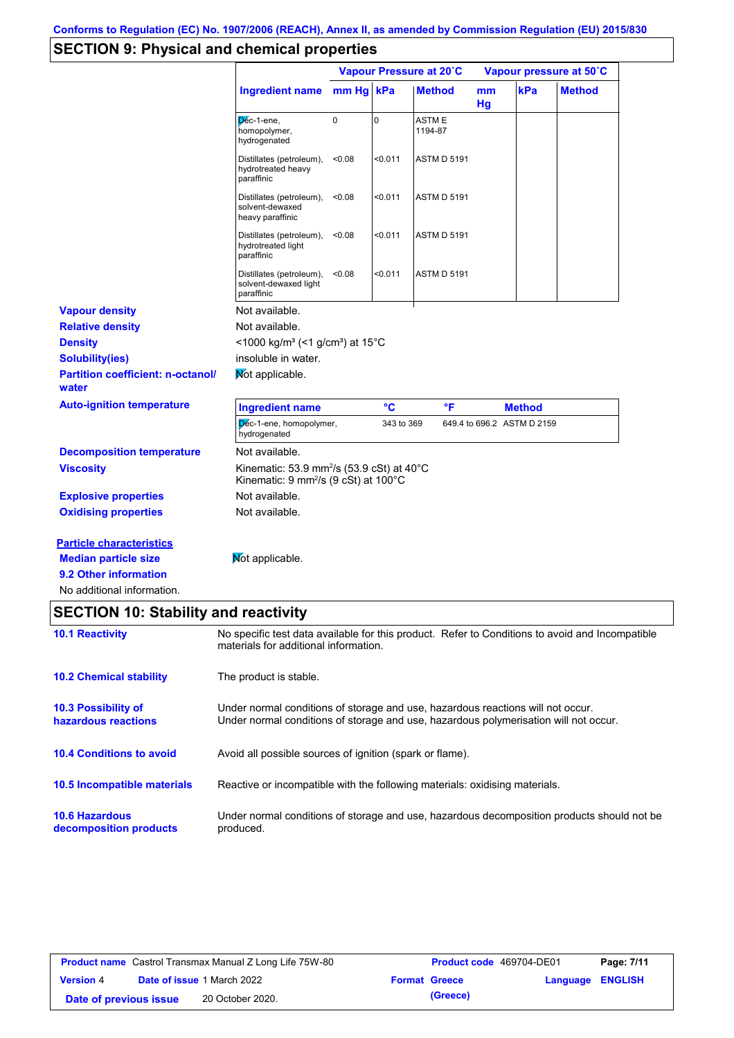# **SECTION 9: Physical and chemical properties**

|                                                                                                                       |                                                                                                                                                                         |             | Vapour Pressure at 20°C |                         |          | Vapour pressure at 50°C    |               |  |
|-----------------------------------------------------------------------------------------------------------------------|-------------------------------------------------------------------------------------------------------------------------------------------------------------------------|-------------|-------------------------|-------------------------|----------|----------------------------|---------------|--|
|                                                                                                                       | <b>Ingredient name</b>                                                                                                                                                  | mm Hg kPa   |                         | <b>Method</b>           | mm<br>Hg | kPa                        | <b>Method</b> |  |
|                                                                                                                       | Dec-1-ene,<br>homopolymer,<br>hydrogenated                                                                                                                              | $\mathbf 0$ | $\mathbf 0$             | <b>ASTME</b><br>1194-87 |          |                            |               |  |
|                                                                                                                       | Distillates (petroleum),<br>hydrotreated heavy<br>paraffinic                                                                                                            | < 0.08      | < 0.011                 | <b>ASTM D 5191</b>      |          |                            |               |  |
|                                                                                                                       | Distillates (petroleum),<br>solvent-dewaxed<br>heavy paraffinic                                                                                                         | < 0.08      | < 0.011                 | <b>ASTM D 5191</b>      |          |                            |               |  |
|                                                                                                                       | Distillates (petroleum),<br>hydrotreated light<br>paraffinic                                                                                                            | < 0.08      | 0.011                   | <b>ASTM D 5191</b>      |          |                            |               |  |
|                                                                                                                       | Distillates (petroleum),<br>solvent-dewaxed light<br>paraffinic                                                                                                         | < 0.08      | < 0.011                 | <b>ASTM D 5191</b>      |          |                            |               |  |
| <b>Vapour density</b>                                                                                                 | Not available.                                                                                                                                                          |             |                         |                         |          |                            |               |  |
| <b>Relative density</b>                                                                                               | Not available.                                                                                                                                                          |             |                         |                         |          |                            |               |  |
| <b>Density</b>                                                                                                        | <1000 kg/m <sup>3</sup> (<1 g/cm <sup>3</sup> ) at 15 <sup>°</sup> C                                                                                                    |             |                         |                         |          |                            |               |  |
| <b>Solubility(ies)</b>                                                                                                | insoluble in water.                                                                                                                                                     |             |                         |                         |          |                            |               |  |
| <b>Partition coefficient: n-octanol/</b><br>water                                                                     | Mot applicable.                                                                                                                                                         |             |                         |                         |          |                            |               |  |
| <b>Auto-ignition temperature</b>                                                                                      | <b>Ingredient name</b>                                                                                                                                                  |             | °C                      | °F                      |          | <b>Method</b>              |               |  |
|                                                                                                                       | Dec-1-ene, homopolymer,<br>hydrogenated                                                                                                                                 |             | 343 to 369              |                         |          | 649.4 to 696.2 ASTM D 2159 |               |  |
| <b>Decomposition temperature</b>                                                                                      | Not available.                                                                                                                                                          |             |                         |                         |          |                            |               |  |
| <b>Viscosity</b>                                                                                                      | Kinematic: 53.9 mm <sup>2</sup> /s (53.9 cSt) at 40°C<br>Kinematic: $9 \text{ mm}^2\text{/s}$ (9 cSt) at 100 $^{\circ}$ C                                               |             |                         |                         |          |                            |               |  |
| <b>Explosive properties</b>                                                                                           | Not available.                                                                                                                                                          |             |                         |                         |          |                            |               |  |
| <b>Oxidising properties</b>                                                                                           | Not available.                                                                                                                                                          |             |                         |                         |          |                            |               |  |
| <b>Particle characteristics</b><br><b>Median particle size</b><br>9.2 Other information<br>No additional information. | Mot applicable.                                                                                                                                                         |             |                         |                         |          |                            |               |  |
| <b>SECTION 10: Stability and reactivity</b>                                                                           |                                                                                                                                                                         |             |                         |                         |          |                            |               |  |
| <b>10.1 Reactivity</b>                                                                                                | No specific test data available for this product. Refer to Conditions to avoid and Incompatible<br>materials for additional information.                                |             |                         |                         |          |                            |               |  |
| <b>10.2 Chemical stability</b>                                                                                        | The product is stable.                                                                                                                                                  |             |                         |                         |          |                            |               |  |
| 10.3 Possibility of<br>hazardous reactions                                                                            | Under normal conditions of storage and use, hazardous reactions will not occur.<br>Under normal conditions of storage and use, hazardous polymerisation will not occur. |             |                         |                         |          |                            |               |  |
| <b>10.4 Conditions to avoid</b>                                                                                       | Avoid all possible sources of ignition (spark or flame).                                                                                                                |             |                         |                         |          |                            |               |  |
| 10.5 Incompatible materials                                                                                           | Reactive or incompatible with the following materials: oxidising materials.                                                                                             |             |                         |                         |          |                            |               |  |
| <b>10.6 Hazardous</b><br>decomposition products                                                                       | Under normal conditions of storage and use, hazardous decomposition products should not be<br>produced.                                                                 |             |                         |                         |          |                            |               |  |
|                                                                                                                       |                                                                                                                                                                         |             |                         |                         |          |                            |               |  |

| <b>Product name</b> Castrol Transmax Manual Z Long Life 75W-80 |  |                                   | <b>Product code</b> 469704-DE01 |                      | Page: 7/11              |  |
|----------------------------------------------------------------|--|-----------------------------------|---------------------------------|----------------------|-------------------------|--|
| <b>Version 4</b>                                               |  | <b>Date of issue 1 March 2022</b> |                                 | <b>Format Greece</b> | <b>Language ENGLISH</b> |  |
| Date of previous issue                                         |  | 20 October 2020.                  |                                 | (Greece)             |                         |  |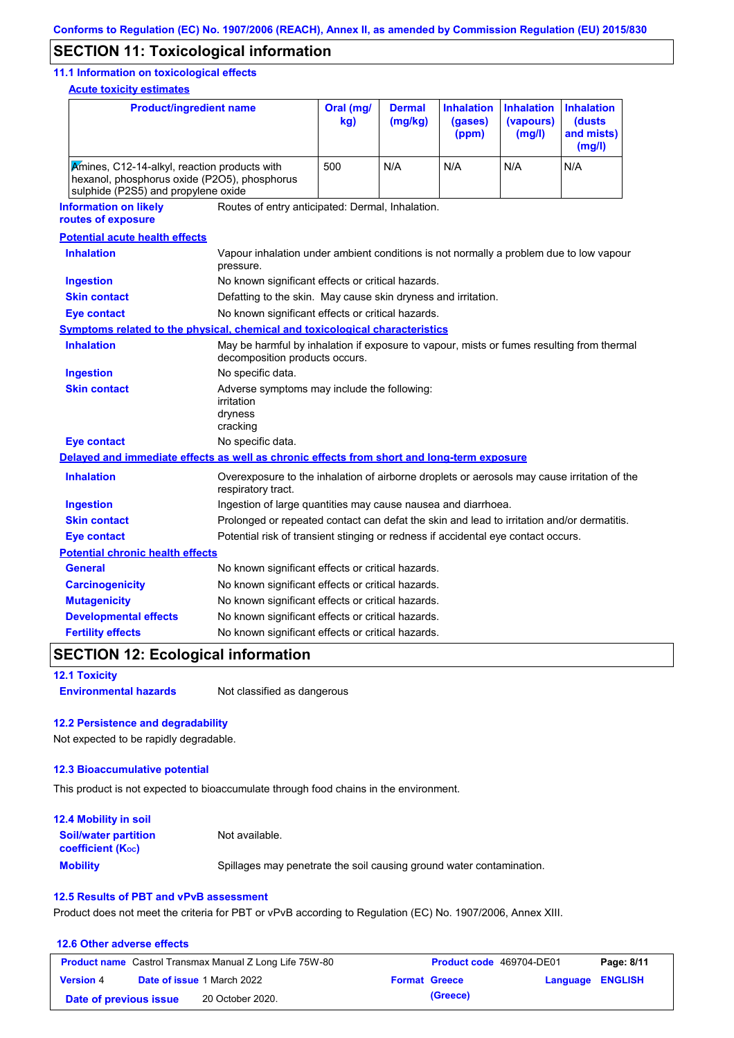## **SECTION 11: Toxicological information**

### **11.1 Information on toxicological effects**

**Acute toxicity estimates**

| <b>Product/ingredient name</b>                                                                                                      |                                                                                                     | Oral (mg/<br>kg)                                                                                                            | <b>Dermal</b><br>(mg/kg) | <b>Inhalation</b><br>(gases)<br>(ppm) | <b>Inhalation</b><br>(vapours)<br>(mg/l) | <b>Inhalation</b><br>(dusts<br>and mists)<br>(mg/l) |  |  |
|-------------------------------------------------------------------------------------------------------------------------------------|-----------------------------------------------------------------------------------------------------|-----------------------------------------------------------------------------------------------------------------------------|--------------------------|---------------------------------------|------------------------------------------|-----------------------------------------------------|--|--|
| Amines, C12-14-alkyl, reaction products with<br>hexanol, phosphorus oxide (P2O5), phosphorus<br>sulphide (P2S5) and propylene oxide |                                                                                                     | 500                                                                                                                         | N/A                      | N/A                                   | N/A                                      | N/A                                                 |  |  |
| <b>Information on likely</b><br>routes of exposure                                                                                  |                                                                                                     | Routes of entry anticipated: Dermal, Inhalation.                                                                            |                          |                                       |                                          |                                                     |  |  |
| <b>Potential acute health effects</b>                                                                                               |                                                                                                     |                                                                                                                             |                          |                                       |                                          |                                                     |  |  |
| <b>Inhalation</b>                                                                                                                   | Vapour inhalation under ambient conditions is not normally a problem due to low vapour<br>pressure. |                                                                                                                             |                          |                                       |                                          |                                                     |  |  |
| <b>Ingestion</b>                                                                                                                    | No known significant effects or critical hazards.                                                   |                                                                                                                             |                          |                                       |                                          |                                                     |  |  |
| <b>Skin contact</b>                                                                                                                 | Defatting to the skin. May cause skin dryness and irritation.                                       |                                                                                                                             |                          |                                       |                                          |                                                     |  |  |
| <b>Eye contact</b>                                                                                                                  | No known significant effects or critical hazards.                                                   |                                                                                                                             |                          |                                       |                                          |                                                     |  |  |
| <b>Symptoms related to the physical, chemical and toxicological characteristics</b>                                                 |                                                                                                     |                                                                                                                             |                          |                                       |                                          |                                                     |  |  |
| <b>Inhalation</b>                                                                                                                   |                                                                                                     | May be harmful by inhalation if exposure to vapour, mists or fumes resulting from thermal<br>decomposition products occurs. |                          |                                       |                                          |                                                     |  |  |
| <b>Ingestion</b>                                                                                                                    | No specific data.                                                                                   |                                                                                                                             |                          |                                       |                                          |                                                     |  |  |
| <b>Skin contact</b>                                                                                                                 | irritation<br>dryness<br>cracking                                                                   | Adverse symptoms may include the following:                                                                                 |                          |                                       |                                          |                                                     |  |  |
| <b>Eye contact</b>                                                                                                                  | No specific data.                                                                                   |                                                                                                                             |                          |                                       |                                          |                                                     |  |  |
| Delayed and immediate effects as well as chronic effects from short and long-term exposure                                          |                                                                                                     |                                                                                                                             |                          |                                       |                                          |                                                     |  |  |
| <b>Inhalation</b>                                                                                                                   | respiratory tract.                                                                                  | Overexposure to the inhalation of airborne droplets or aerosols may cause irritation of the                                 |                          |                                       |                                          |                                                     |  |  |
| <b>Ingestion</b>                                                                                                                    |                                                                                                     | Ingestion of large quantities may cause nausea and diarrhoea.                                                               |                          |                                       |                                          |                                                     |  |  |
| <b>Skin contact</b>                                                                                                                 | Prolonged or repeated contact can defat the skin and lead to irritation and/or dermatitis.          |                                                                                                                             |                          |                                       |                                          |                                                     |  |  |
| <b>Eye contact</b>                                                                                                                  |                                                                                                     | Potential risk of transient stinging or redness if accidental eye contact occurs.                                           |                          |                                       |                                          |                                                     |  |  |
| <b>Potential chronic health effects</b>                                                                                             |                                                                                                     |                                                                                                                             |                          |                                       |                                          |                                                     |  |  |
| <b>General</b>                                                                                                                      | No known significant effects or critical hazards.                                                   |                                                                                                                             |                          |                                       |                                          |                                                     |  |  |
| <b>Carcinogenicity</b>                                                                                                              | No known significant effects or critical hazards.                                                   |                                                                                                                             |                          |                                       |                                          |                                                     |  |  |
| <b>Mutagenicity</b>                                                                                                                 | No known significant effects or critical hazards.                                                   |                                                                                                                             |                          |                                       |                                          |                                                     |  |  |
| <b>Developmental effects</b>                                                                                                        | No known significant effects or critical hazards.                                                   |                                                                                                                             |                          |                                       |                                          |                                                     |  |  |
| <b>Fertility effects</b>                                                                                                            | No known significant effects or critical hazards.                                                   |                                                                                                                             |                          |                                       |                                          |                                                     |  |  |

# **SECTION 12: Ecological information**

**12.1 Toxicity**

**Environmental hazards** Not classified as dangerous

### **12.2 Persistence and degradability**

Not expected to be rapidly degradable.

### **12.3 Bioaccumulative potential**

This product is not expected to bioaccumulate through food chains in the environment.

| <b>12.4 Mobility in soil</b>                            |                                                                      |
|---------------------------------------------------------|----------------------------------------------------------------------|
| <b>Soil/water partition</b><br><b>coefficient (Koc)</b> | Not available.                                                       |
| <b>Mobility</b>                                         | Spillages may penetrate the soil causing ground water contamination. |

### **12.5 Results of PBT and vPvB assessment**

Product does not meet the criteria for PBT or vPvB according to Regulation (EC) No. 1907/2006, Annex XIII.

### **12.6 Other adverse effects Product name** Castrol Transmax Manual Z Long Life 75W-80 **Product code** 469704-DE01 **Page: 8/11 Version** 4 **Date of issue** 1 March 2022 **Format Greece Language ENGLISH Date of previous issue (Greece)** 20 October 2020.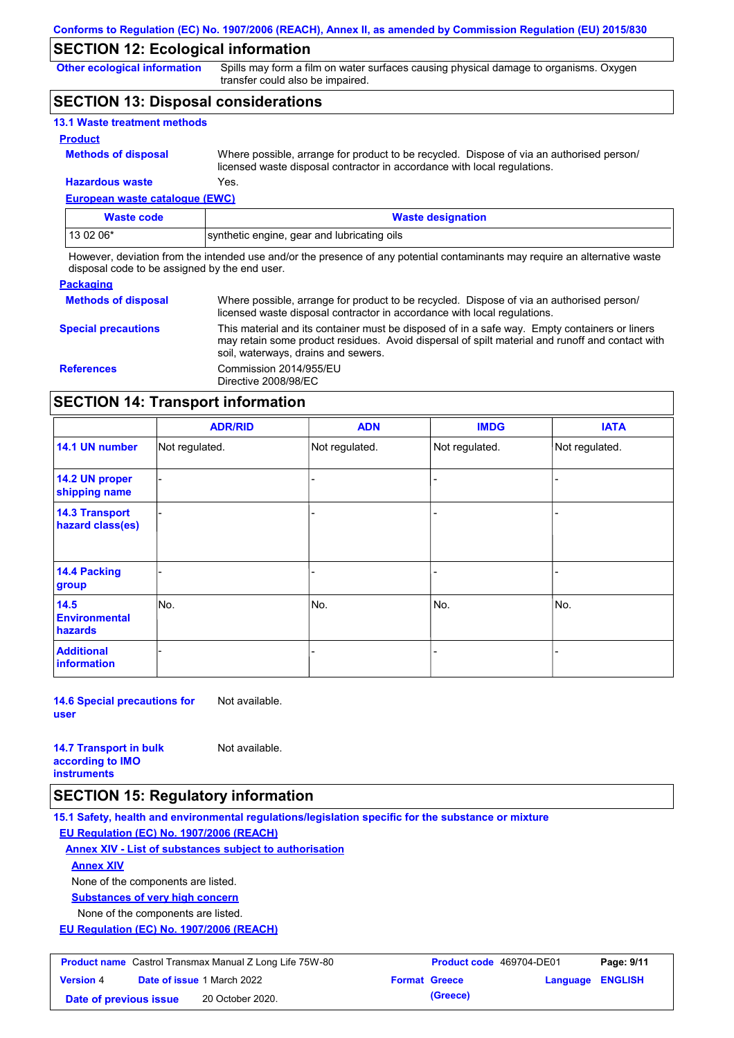## **SECTION 12: Ecological information**

**Other ecological information**

Spills may form a film on water surfaces causing physical damage to organisms. Oxygen transfer could also be impaired.

## **SECTION 13: Disposal considerations**

| <b>13.1 Waste treatment methods</b> |                                                                                                                                                                      |
|-------------------------------------|----------------------------------------------------------------------------------------------------------------------------------------------------------------------|
| <b>Product</b>                      |                                                                                                                                                                      |
| <b>Methods of disposal</b>          | Where possible, arrange for product to be recycled. Dispose of via an authorised person/<br>licensed waste disposal contractor in accordance with local regulations. |
| <b>Hazardous waste</b>              | Yes.                                                                                                                                                                 |

## **European waste catalogue (EWC)**

| <b>Waste code</b> | <b>Waste designation</b>                    |
|-------------------|---------------------------------------------|
| 13 02 06*         | synthetic engine, gear and lubricating oils |

However, deviation from the intended use and/or the presence of any potential contaminants may require an alternative waste disposal code to be assigned by the end user.

### **Packaging**

| <b>Methods of disposal</b> | Where possible, arrange for product to be recycled. Dispose of via an authorised person/<br>licensed waste disposal contractor in accordance with local regulations.                                                                    |
|----------------------------|-----------------------------------------------------------------------------------------------------------------------------------------------------------------------------------------------------------------------------------------|
| <b>Special precautions</b> | This material and its container must be disposed of in a safe way. Empty containers or liners<br>may retain some product residues. Avoid dispersal of spilt material and runoff and contact with<br>soil, waterways, drains and sewers. |
| <b>References</b>          | Commission 2014/955/EU<br>Directive 2008/98/EC                                                                                                                                                                                          |

## **SECTION 14: Transport information**

|                                           | <b>ADR/RID</b> | <b>ADN</b>     | <b>IMDG</b>    | <b>IATA</b>    |
|-------------------------------------------|----------------|----------------|----------------|----------------|
| 14.1 UN number                            | Not regulated. | Not regulated. | Not regulated. | Not regulated. |
| 14.2 UN proper<br>shipping name           |                |                |                |                |
| <b>14.3 Transport</b><br>hazard class(es) |                |                |                |                |
| 14.4 Packing<br>group                     |                |                |                |                |
| 14.5<br><b>Environmental</b><br>hazards   | No.            | No.            | No.            | No.            |
| <b>Additional</b><br>information          |                |                | -              |                |

**14.6 Special precautions for user** Not available.

**14.7 Transport in bulk according to IMO instruments**

Not available.

**SECTION 15: Regulatory information**

**15.1 Safety, health and environmental regulations/legislation specific for the substance or mixture**

**EU Regulation (EC) No. 1907/2006 (REACH)**

**Annex XIV - List of substances subject to authorisation**

**Annex XIV**

None of the components are listed.

**Substances of very high concern**

None of the components are listed.

**EU Regulation (EC) No. 1907/2006 (REACH)**

| <b>Product name</b> Castrol Transmax Manual Z Long Life 75W-80 |  | <b>Product code</b> 469704-DE01   |  | Page: 9/11           |                         |  |
|----------------------------------------------------------------|--|-----------------------------------|--|----------------------|-------------------------|--|
| <b>Version 4</b>                                               |  | <b>Date of issue 1 March 2022</b> |  | <b>Format Greece</b> | <b>Language ENGLISH</b> |  |
| Date of previous issue                                         |  | 20 October 2020.                  |  | (Greece)             |                         |  |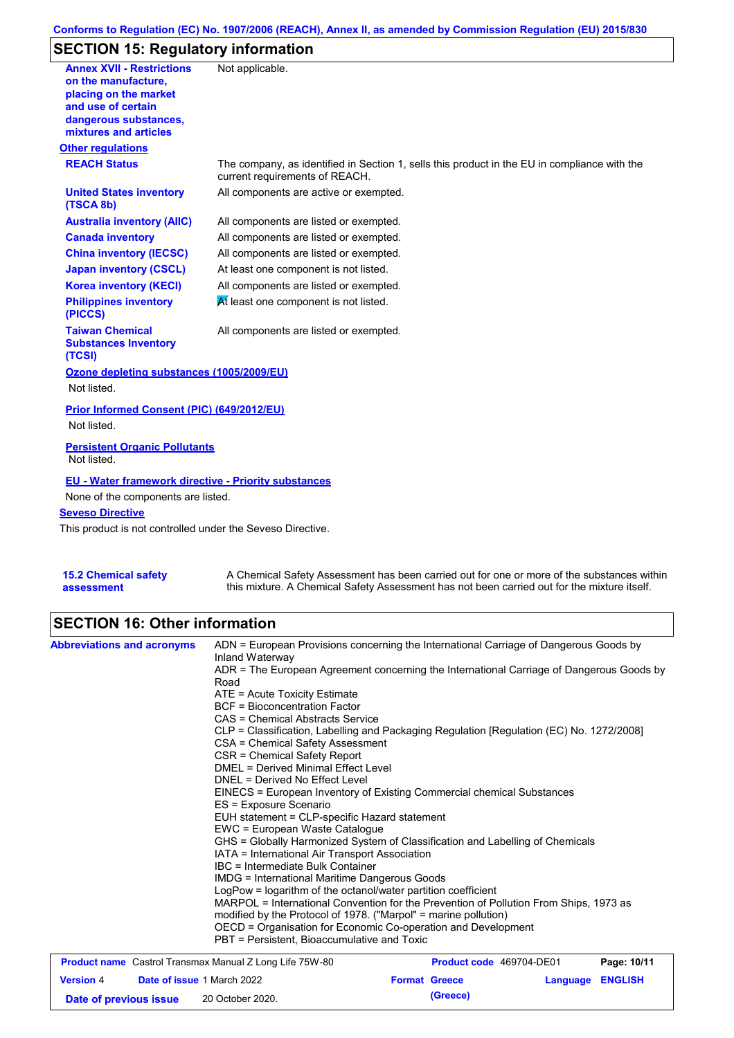### **Conforms to Regulation (EC) No. 1907/2006 (REACH), Annex II, as amended by Commission Regulation (EU) 2015/830**

## **SECTION 15: Regulatory information**

| <b>Annex XVII - Restrictions</b><br>on the manufacture.         | Not applicable.                                                                                                                |
|-----------------------------------------------------------------|--------------------------------------------------------------------------------------------------------------------------------|
| placing on the market                                           |                                                                                                                                |
| and use of certain                                              |                                                                                                                                |
| dangerous substances,<br>mixtures and articles                  |                                                                                                                                |
| <b>Other regulations</b>                                        |                                                                                                                                |
| <b>REACH Status</b>                                             | The company, as identified in Section 1, sells this product in the EU in compliance with the<br>current requirements of REACH. |
| <b>United States inventory</b><br>(TSCA 8b)                     | All components are active or exempted.                                                                                         |
| <b>Australia inventory (AIIC)</b>                               | All components are listed or exempted.                                                                                         |
| <b>Canada inventory</b>                                         | All components are listed or exempted.                                                                                         |
| <b>China inventory (IECSC)</b>                                  | All components are listed or exempted.                                                                                         |
| <b>Japan inventory (CSCL)</b>                                   | At least one component is not listed.                                                                                          |
| <b>Korea inventory (KECI)</b>                                   | All components are listed or exempted.                                                                                         |
| <b>Philippines inventory</b><br>(PICCS)                         | At least one component is not listed.                                                                                          |
| <b>Taiwan Chemical</b><br><b>Substances Inventory</b><br>(TCSI) | All components are listed or exempted.                                                                                         |
| Ozone depleting substances (1005/2009/EU)                       |                                                                                                                                |
| Not listed.                                                     |                                                                                                                                |
| Prior Informed Consent (PIC) (649/2012/EU)                      |                                                                                                                                |
| Not listed.                                                     |                                                                                                                                |
| <b>Persistent Organic Pollutants</b><br>Not listed.             |                                                                                                                                |
| <b>EU - Water framework directive - Priority substances</b>     |                                                                                                                                |
| None of the components are listed.                              |                                                                                                                                |
| <b>Seveso Directive</b>                                         |                                                                                                                                |
| This product is not controlled under the Seveso Directive.      |                                                                                                                                |
|                                                                 |                                                                                                                                |
| <b>15.2 Chemical safety</b>                                     | A Chemical Safety Assessment has been carried out for one or more of the substances within                                     |

A Chemical Safety Assessment has been carried out for one or more of the substances within this mixture. A Chemical Safety Assessment has not been carried out for the mixture itself.

## **SECTION 16: Other information**

**assessment**

| <b>Abbreviations and acronyms</b> | ADN = European Provisions concerning the International Carriage of Dangerous Goods by<br>Inland Waterway<br>ADR = The European Agreement concerning the International Carriage of Dangerous Goods by<br>Road<br>ATE = Acute Toxicity Estimate<br><b>BCF</b> = Bioconcentration Factor<br><b>CAS = Chemical Abstracts Service</b><br>CLP = Classification, Labelling and Packaging Regulation [Regulation (EC) No. 1272/2008]<br>CSA = Chemical Safety Assessment<br>CSR = Chemical Safety Report<br><b>DMEL = Derived Minimal Effect Level</b><br>DNEL = Derived No Effect Level<br>EINECS = European Inventory of Existing Commercial chemical Substances<br>ES = Exposure Scenario<br>EUH statement = CLP-specific Hazard statement<br>EWC = European Waste Catalogue<br>GHS = Globally Harmonized System of Classification and Labelling of Chemicals<br>IATA = International Air Transport Association<br>IBC = Intermediate Bulk Container<br>IMDG = International Maritime Dangerous Goods<br>LogPow = logarithm of the octanol/water partition coefficient |                                                         |          |                               |
|-----------------------------------|-------------------------------------------------------------------------------------------------------------------------------------------------------------------------------------------------------------------------------------------------------------------------------------------------------------------------------------------------------------------------------------------------------------------------------------------------------------------------------------------------------------------------------------------------------------------------------------------------------------------------------------------------------------------------------------------------------------------------------------------------------------------------------------------------------------------------------------------------------------------------------------------------------------------------------------------------------------------------------------------------------------------------------------------------------------------|---------------------------------------------------------|----------|-------------------------------|
|                                   | MARPOL = International Convention for the Prevention of Pollution From Ships, 1973 as<br>modified by the Protocol of 1978. ("Marpol" = marine pollution)<br>OECD = Organisation for Economic Co-operation and Development<br>PBT = Persistent, Bioaccumulative and Toxic                                                                                                                                                                                                                                                                                                                                                                                                                                                                                                                                                                                                                                                                                                                                                                                          |                                                         |          |                               |
| <b>Version 4</b>                  | <b>Product name</b> Castrol Transmax Manual Z Long Life 75W-80<br><b>Date of issue 1 March 2022</b>                                                                                                                                                                                                                                                                                                                                                                                                                                                                                                                                                                                                                                                                                                                                                                                                                                                                                                                                                               | <b>Product code</b> 469704-DE01<br><b>Format Greece</b> | Language | Page: 10/11<br><b>ENGLISH</b> |
|                                   |                                                                                                                                                                                                                                                                                                                                                                                                                                                                                                                                                                                                                                                                                                                                                                                                                                                                                                                                                                                                                                                                   |                                                         |          |                               |

**Date of previous issue (Greece)** 20 October 2020.